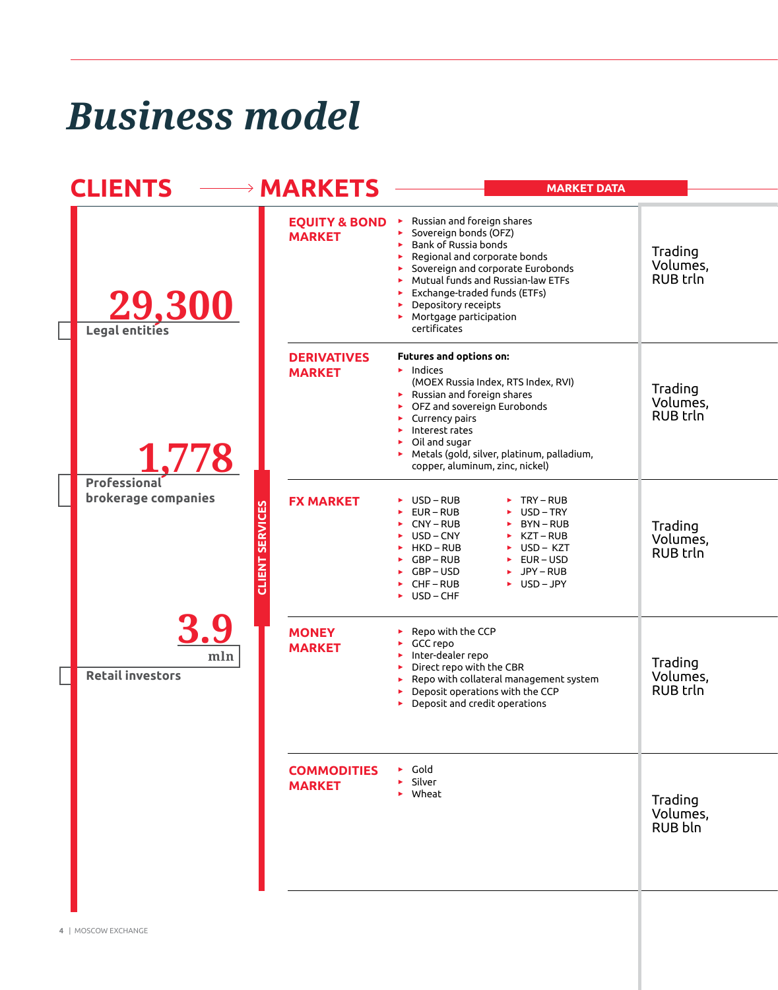## *Business model*

| <b>CLIENTS</b>                 | <b>→ MARKETS</b>                                     | <b>MARKET DATA</b>                                                                                                                                                                                                                                                                                                  |                                        |
|--------------------------------|------------------------------------------------------|---------------------------------------------------------------------------------------------------------------------------------------------------------------------------------------------------------------------------------------------------------------------------------------------------------------------|----------------------------------------|
| 29,300                         | <b>EQUITY &amp; BOND</b><br><b>MARKET</b>            | $\blacktriangleright$ Russian and foreign shares<br>Sovereign bonds (OFZ)<br>Bank of Russia bonds<br>Regional and corporate bonds<br>Sovereign and corporate Eurobonds<br>Mutual funds and Russian-law ETFs<br>Exchange-traded funds (ETFs)<br>Depository receipts<br>Mortgage participation<br>certificates        | Trading<br>Volumes,<br><b>RUB trln</b> |
| 1,778<br><b>Professional</b>   | <b>DERIVATIVES</b><br><b>MARKET</b>                  | Futures and options on:<br>$\blacktriangleright$ Indices<br>(MOEX Russia Index, RTS Index, RVI)<br>Russian and foreign shares<br>OFZ and sovereign Eurobonds<br>Currency pairs<br>Interest rates<br>$\triangleright$ Oil and sugar<br>Metals (gold, silver, platinum, palladium,<br>copper, aluminum, zinc, nickel) | Trading<br>Volumes,<br><b>RUB trln</b> |
| brokerage companies            | <b>FX MARKET</b><br><b>SERVICES</b><br><b>ABLIED</b> | USD-RUB<br>$\triangleright$ TRY – RUB<br>$EUR - RUB$<br>USD-TRY<br>CNY-RUB<br>$\triangleright$ BYN-RUB<br>USD-CNY<br>KZT – RUB<br>HKD – RUB<br>$\triangleright$ USD – KZT<br>GBP-RUB<br>$EUR - USD$<br>JPY-RUB<br>GBP – USD<br>►.<br>CHF – RUB<br>$\triangleright$ USD-JPY<br>USD – CHF                             | Trading<br>Volumes,<br>RUB trln        |
| mln<br><b>Retail investors</b> | <b>MONEY</b><br><b>MARKET</b>                        | Repo with the CCP<br>GCC repo<br>Inter-dealer repo<br>Direct repo with the CBR<br>Repo with collateral management system<br>Deposit operations with the CCP<br>Deposit and credit operations                                                                                                                        | Trading<br>Volumes,<br><b>RUB trln</b> |
|                                | <b>COMMODITIES</b><br><b>MARKET</b>                  | $\triangleright$ Gold<br>Silver<br>▶ Wheat                                                                                                                                                                                                                                                                          | Trading<br>Volumes,<br>RUB bln         |
|                                |                                                      |                                                                                                                                                                                                                                                                                                                     |                                        |